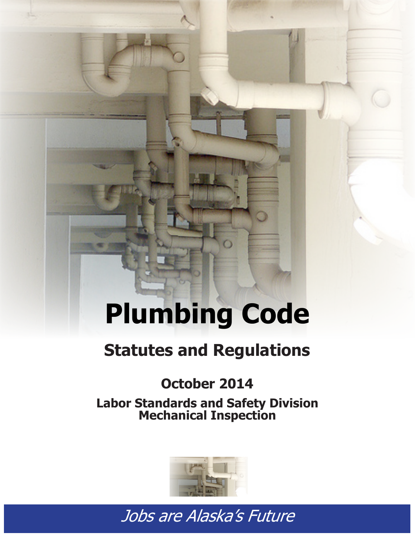# **Plumbing Code**

## **Statutes and Regulations**

### **October 2014**

**Labor Standards and Safety Division Mechanical Inspection**



*Tobs are Alaska's Future* **Statutes and Regulations**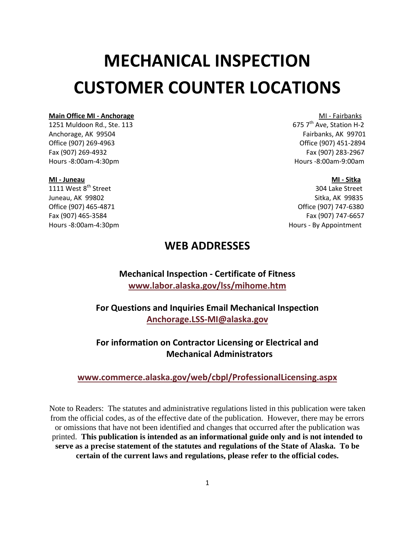## **MECHANICAL INSPECTION CUSTOMER COUNTER LOCATIONS**

### **Main Office MI - Anchorage** MI - **Main Office MI - Anchorage** MI - Fairbanks<br>1251 Muldoon Rd., Ste, 113 and Steel Million Company of The Million Hotel Station H-2

1251 Muldoon Rd., Ste. 113 Anchorage, AK 99504 **Fairbanks, AK 99701 Fairbanks, AK 99701** Office (907) 269-4963 Office (907) 451-2894 Fax (907) 269-4932 Fax (907) 283-2967 Hours -8:00am-4:30pm Hours -8:00am-9:00am

#### **MI - Juneau MI - Sitka**

1111 West 8<sup>th</sup> Street 304 Lake Street Juneau, AK 99802 Sitka, AK 99835 Office (907) 465-4871 Office (907) 747-6380 Fax (907) 465-3584 Fax (907) 747-6657 Hours -8:00am-4:30pm Hours - By Appointment

#### **WEB ADDRESSES**

**Mechanical Inspection - Certificate of Fitness [www.labor.alaska.gov/lss/mihome.htm](http://www.labor.alaska.gov/lss/mihome.htm)**

**For Questions and Inquiries Email Mechanical Inspection [Anchorage.LSS-MI@alaska.gov](mailto:Anchorage.LSS-MI@alaska.gov)**

**For information on Contractor Licensing or Electrical and Mechanical Administrators** 

#### **[www.commerce.alaska.gov/web/cbpl/ProfessionalLicensing.aspx](http://www.commerce.alaska.gov/web/cbpl/ProfessionalLicensing.aspx)**

Note to Readers: The statutes and administrative regulations listed in this publication were taken from the official codes, as of the effective date of the publication. However, there may be errors or omissions that have not been identified and changes that occurred after the publication was printed. **This publication is intended as an informational guide only and is not intended to serve as a precise statement of the statutes and regulations of the State of Alaska. To be certain of the current laws and regulations, please refer to the official codes.**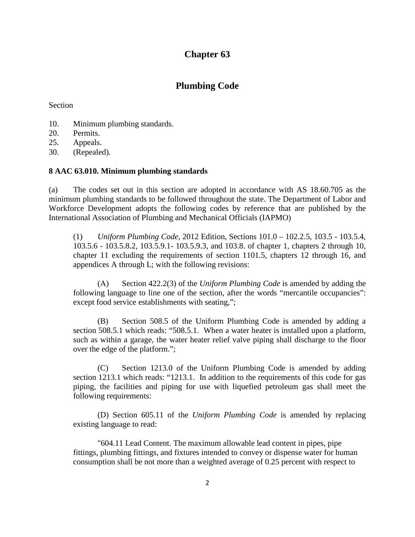#### **[Chapter 63](http://www.legis.state.ak.us/basis/folioproxy.asp?url=http://wwwjnu01.legis.state.ak.us/cgi-bin/folioisa.dll/aac/query=%5bGroup+!27Title8Chap63!27!3A%5d/doc/%7b@1%7d/hits_only?firsthit)**

#### **Plumbing Code**

Section

- [10. Minimum plumbing standards.](http://www.legis.state.ak.us/basis/folioproxy.asp?url=http://wwwjnu01.legis.state.ak.us/cgi-bin/folioisa.dll/aac/query=%5bJUMP:)
- [20. Permits.](http://www.legis.state.ak.us/basis/folioproxy.asp?url=http://wwwjnu01.legis.state.ak.us/cgi-bin/folioisa.dll/aac/query=%5bJUMP:)
- [25. Appeals.](http://www.legis.state.ak.us/basis/folioproxy.asp?url=http://wwwjnu01.legis.state.ak.us/cgi-bin/folioisa.dll/aac/query=%5bJUMP:)
- [30. \(Repealed\).](http://www.legis.state.ak.us/basis/folioproxy.asp?url=http://wwwjnu01.legis.state.ak.us/cgi-bin/folioisa.dll/aac/query=%5bJUMP:)

#### **[8 AAC 63.010. Minimum plumbing standards](http://www.legis.state.ak.us/basis/folioproxy.asp?url=http://wwwjnu01.legis.state.ak.us/cgi-bin/folioisa.dll/aac/query=%5bGroup+!278+aac+63!2E010!27!3A%5d/doc/%7b@1%7d/hits_only?firsthit)**

(a) The codes set out in this section are adopted in accordance with [AS 18.60.705](http://www.legis.state.ak.us/basis/folioproxy.asp?url=http://wwwjnu01.legis.state.ak.us/cgi-bin/folioisa.dll/stattx09/query=%5bJUMP:) as the minimum plumbing standards to be followed throughout the state. The Department of Labor and Workforce Development adopts the following codes by reference that are published by the International Association of Plumbing and Mechanical Officials (IAPMO)

(1) *Uniform Plumbing Code,* 2012 Edition, Sections 101.0 – 102.2.5, 103.5 - 103.5.4, 103.5.6 - 103.5.8.2, 103.5.9.1- 103.5.9.3, and 103.8. of chapter 1, chapters 2 through 10, chapter 11 excluding the requirements of section 1101.5, chapters 12 through 16, and appendices A through L; with the following revisions:

(A) Section 422.2(3) of the *Uniform Plumbing Code* is amended by adding the following language to line one of the section, after the words "mercantile occupancies": except food service establishments with seating,";

(B) Section 508.5 of the Uniform Plumbing Code is amended by adding a section 508.5.1 which reads: "508.5.1. When a water heater is installed upon a platform, such as within a garage, the water heater relief valve piping shall discharge to the floor over the edge of the platform.";

(C) Section 1213.0 of the Uniform Plumbing Code is amended by adding section 1213.1 which reads: "1213.1. In addition to the requirements of this code for gas piping, the facilities and piping for use with liquefied petroleum gas shall meet the following requirements:

(D) Section 605.11 of the *Uniform Plumbing Code* is amended by replacing existing language to read:

"604.11 Lead Content. The maximum allowable lead content in pipes, pipe fittings, plumbing fittings, and fixtures intended to convey or dispense water for human consumption shall be not more than a weighted average of 0.25 percent with respect to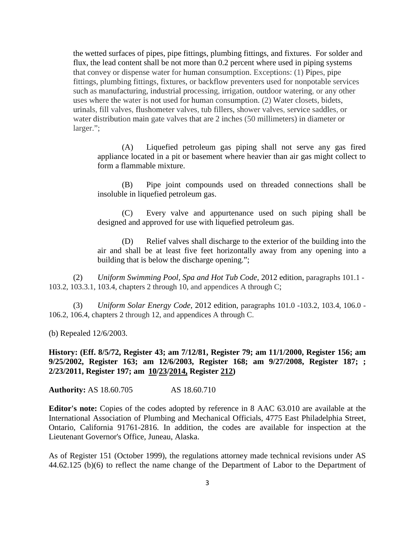the wetted surfaces of pipes, pipe fittings, plumbing fittings, and fixtures. For solder and flux, the lead content shall be not more than 0.2 percent where used in piping systems that convey or dispense water for human consumption. Exceptions: (1) Pipes, pipe fittings, plumbing fittings, fixtures, or backflow preventers used for nonpotable services such as manufacturing, industrial processing, irrigation, outdoor watering, or any other uses where the water is not used for human consumption. (2) Water closets, bidets, urinals, fill valves, flushometer valves, tub fillers, shower valves, service saddles, or water distribution main gate valves that are 2 inches (50 millimeters) in diameter or larger.";

(A) Liquefied petroleum gas piping shall not serve any gas fired appliance located in a pit or basement where heavier than air gas might collect to form a flammable mixture.

(B) Pipe joint compounds used on threaded connections shall be insoluble in liquefied petroleum gas.

(C) Every valve and appurtenance used on such piping shall be designed and approved for use with liquefied petroleum gas.

(D) Relief valves shall discharge to the exterior of the building into the air and shall be at least five feet horizontally away from any opening into a building that is below the discharge opening.";

(2) *Uniform Swimming Pool, Spa and Hot Tub Code*, 2012 edition, paragraphs 101.1 - 103.2, 103.3.1, 103.4, chapters 2 through 10, and appendices A through C;

(3) *Uniform Solar Energy Code,* 2012 edition, paragraphs 101.0 -103.2, 103.4, 106.0 - 106.2, 106.4, chapters 2 through 12, and appendices A through C.

(b) Repealed 12/6/2003.

**History: (Eff. 8/5/72, Register 43; am 7/12/81, Register 79; am 11/1/2000, Register 156; am 9/25/2002, Register 163; am 12/6/2003, Register 168; am 9/27/2008, Register 187; ; 2/23/2011, Register 197; am 10/23/2014, Register 212)**

**Authority:** [AS 18.60.705](http://www.legis.state.ak.us/basis/folioproxy.asp?url=http://wwwjnu01.legis.state.ak.us/cgi-bin/folioisa.dll/stattx09/query=%5bJUMP:) [AS 18.60.710](http://www.legis.state.ak.us/basis/folioproxy.asp?url=http://wwwjnu01.legis.state.ak.us/cgi-bin/folioisa.dll/stattx09/query=%5bJUMP:)

**Editor's note:** Copies of the codes adopted by reference in 8 AAC [63.010](http://www.legis.state.ak.us/basis/folioproxy.asp?url=http://wwwjnu01.legis.state.ak.us/cgi-bin/folioisa.dll/aac/query=%5bJUMP:) are available at the International Association of Plumbing and Mechanical Officials, 4775 East Philadelphia Street, Ontario, California 91761-2816. In addition, the codes are available for inspection at the Lieutenant Governor's Office, Juneau, Alaska.

As of Register 151 (October 1999), the regulations attorney made technical revisions under [AS](http://www.legis.state.ak.us/basis/folioproxy.asp?url=http://wwwjnu01.legis.state.ak.us/cgi-bin/folioisa.dll/stattx09/query=%5bJUMP:)  [44.62.125](http://www.legis.state.ak.us/basis/folioproxy.asp?url=http://wwwjnu01.legis.state.ak.us/cgi-bin/folioisa.dll/stattx09/query=%5bJUMP:) (b)(6) to reflect the name change of the Department of Labor to the Department of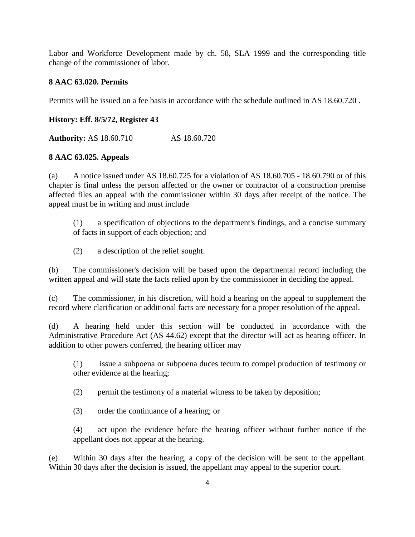Labor and Workforce Development made by ch. 58, SLA 1999 and the corresponding title change of the commissioner of labor.

#### **[8 AAC 63.020. Permits](http://www.legis.state.ak.us/basis/folioproxy.asp?url=http://wwwjnu01.legis.state.ak.us/cgi-bin/folioisa.dll/aac/query=%5bGroup+!278+aac+63!2E020!27!3A%5d/doc/%7b@1%7d/hits_only?firsthit)**

Permits will be issued on a fee basis in accordance with the schedule outlined in [AS 18.60.720](http://www.legis.state.ak.us/basis/folioproxy.asp?url=http://wwwjnu01.legis.state.ak.us/cgi-bin/folioisa.dll/stattx09/query=%5bJUMP:) .

#### **History: Eff. 8/5/72, Register 43**

**Authority:** [AS 18.60.710](http://www.legis.state.ak.us/basis/folioproxy.asp?url=http://wwwjnu01.legis.state.ak.us/cgi-bin/folioisa.dll/stattx09/query=%5bJUMP:) [AS 18.60.720](http://www.legis.state.ak.us/basis/folioproxy.asp?url=http://wwwjnu01.legis.state.ak.us/cgi-bin/folioisa.dll/stattx09/query=%5bJUMP:)

#### **[8 AAC 63.025. Appeals](http://www.legis.state.ak.us/basis/folioproxy.asp?url=http://wwwjnu01.legis.state.ak.us/cgi-bin/folioisa.dll/aac/query=%5bGroup+!278+aac+63!2E025!27!3A%5d/doc/%7b@1%7d/hits_only?firsthit)**

(a) A notice issued under [AS 18.60.725](http://www.legis.state.ak.us/basis/folioproxy.asp?url=http://wwwjnu01.legis.state.ak.us/cgi-bin/folioisa.dll/stattx09/query=%5bJUMP:) for a violation of [AS 18.60.705](http://www.legis.state.ak.us/basis/folioproxy.asp?url=http://wwwjnu01.legis.state.ak.us/cgi-bin/folioisa.dll/stattx09/query=%5bJUMP:) - 18.60.790 or of this chapter is final unless the person affected or the owner or contractor of a construction premise affected files an appeal with the commissioner within 30 days after receipt of the notice. The appeal must be in writing and must include

(1) a specification of objections to the department's findings, and a concise summary of facts in support of each objection; and

(2) a description of the relief sought.

(b) The commissioner's decision will be based upon the departmental record including the written appeal and will state the facts relied upon by the commissioner in deciding the appeal.

(c) The commissioner, in his discretion, will hold a hearing on the appeal to supplement the record where clarification or additional facts are necessary for a proper resolution of the appeal.

(d) A hearing held under this section will be conducted in accordance with the Administrative Procedure Act (AS 44.62) except that the director will act as hearing officer. In addition to other powers conferred, the hearing officer may

(1) issue a subpoena or subpoena duces tecum to compel production of testimony or other evidence at the hearing;

(2) permit the testimony of a material witness to be taken by deposition;

(3) order the continuance of a hearing; or

(4) act upon the evidence before the hearing officer without further notice if the appellant does not appear at the hearing.

(e) Within 30 days after the hearing, a copy of the decision will be sent to the appellant. Within 30 days after the decision is issued, the appellant may appeal to the superior court.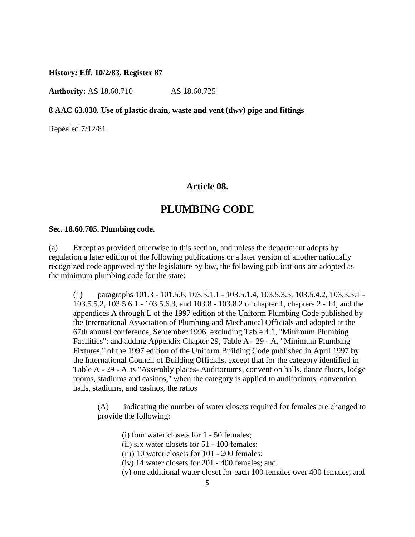**History: Eff. 10/2/83, Register 87**

**Authority:** [AS 18.60.710](http://www.legis.state.ak.us/basis/folioproxy.asp?url=http://wwwjnu01.legis.state.ak.us/cgi-bin/folioisa.dll/stattx09/query=%5bJUMP:) [AS 18.60.725](http://www.legis.state.ak.us/basis/folioproxy.asp?url=http://wwwjnu01.legis.state.ak.us/cgi-bin/folioisa.dll/stattx09/query=%5bJUMP:)

#### **[8 AAC 63.030. Use of plastic drain, waste and vent \(dwv\) pipe and fittings](http://www.legis.state.ak.us/basis/folioproxy.asp?url=http://wwwjnu01.legis.state.ak.us/cgi-bin/folioisa.dll/aac/query=%5bGroup+!278+aac+63!2E030!27!3A%5d/doc/%7b@1%7d/hits_only?firsthit)**

Repealed 7/12/81.

#### **Article 08.**

#### **PLUMBING CODE**

#### **Sec. 18.60.705. Plumbing code.**

(a) Except as provided otherwise in this section, and unless the department adopts by regulation a later edition of the following publications or a later version of another nationally recognized code approved by the legislature by law, the following publications are adopted as the minimum plumbing code for the state:

(1) paragraphs 101.3 - 101.5.6, 103.5.1.1 - 103.5.1.4, 103.5.3.5, 103.5.4.2, 103.5.5.1 - 103.5.5.2, 103.5.6.1 - 103.5.6.3, and 103.8 - 103.8.2 of chapter 1, chapters 2 - 14, and the appendices A through L of the 1997 edition of the Uniform Plumbing Code published by the International Association of Plumbing and Mechanical Officials and adopted at the 67th annual conference, September 1996, excluding Table 4.1, "Minimum Plumbing Facilities"; and adding Appendix Chapter 29, Table A - 29 - A, "Minimum Plumbing Fixtures," of the 1997 edition of the Uniform Building Code published in April 1997 by the International Council of Building Officials, except that for the category identified in Table A - 29 - A as "Assembly places- Auditoriums, convention halls, dance floors, lodge rooms, stadiums and casinos," when the category is applied to auditoriums, convention halls, stadiums, and casinos, the ratios

(A) indicating the number of water closets required for females are changed to provide the following:

- (i) four water closets for 1 50 females;
- (ii) six water closets for 51 100 females;
- (iii) 10 water closets for 101 200 females;
- (iv) 14 water closets for 201 400 females; and
- (v) one additional water closet for each 100 females over 400 females; and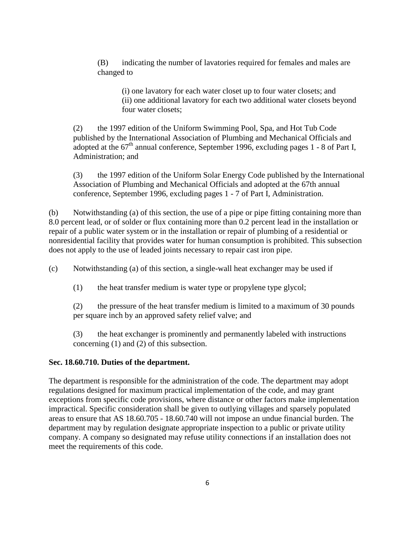(B) indicating the number of lavatories required for females and males are changed to

(i) one lavatory for each water closet up to four water closets; and (ii) one additional lavatory for each two additional water closets beyond four water closets;

(2) the 1997 edition of the Uniform Swimming Pool, Spa, and Hot Tub Code published by the International Association of Plumbing and Mechanical Officials and adopted at the  $67<sup>th</sup>$  annual conference, September 1996, excluding pages 1 - 8 of Part I, Administration; and

(3) the 1997 edition of the Uniform Solar Energy Code published by the International Association of Plumbing and Mechanical Officials and adopted at the 67th annual conference, September 1996, excluding pages 1 - 7 of Part I, Administration.

(b) Notwithstanding (a) of this section, the use of a pipe or pipe fitting containing more than 8.0 percent lead, or of solder or flux containing more than 0.2 percent lead in the installation or repair of a public water system or in the installation or repair of plumbing of a residential or nonresidential facility that provides water for human consumption is prohibited. This subsection does not apply to the use of leaded joints necessary to repair cast iron pipe.

(c) Notwithstanding (a) of this section, a single-wall heat exchanger may be used if

(1) the heat transfer medium is water type or propylene type glycol;

(2) the pressure of the heat transfer medium is limited to a maximum of 30 pounds per square inch by an approved safety relief valve; and

(3) the heat exchanger is prominently and permanently labeled with instructions concerning (1) and (2) of this subsection.

#### **Sec. 18.60.710. Duties of the department.**

The department is responsible for the administration of the code. The department may adopt regulations designed for maximum practical implementation of the code, and may grant exceptions from specific code provisions, where distance or other factors make implementation impractical. Specific consideration shall be given to outlying villages and sparsely populated areas to ensure that AS 18.60.705 - 18.60.740 will not impose an undue financial burden. The department may by regulation designate appropriate inspection to a public or private utility company. A company so designated may refuse utility connections if an installation does not meet the requirements of this code.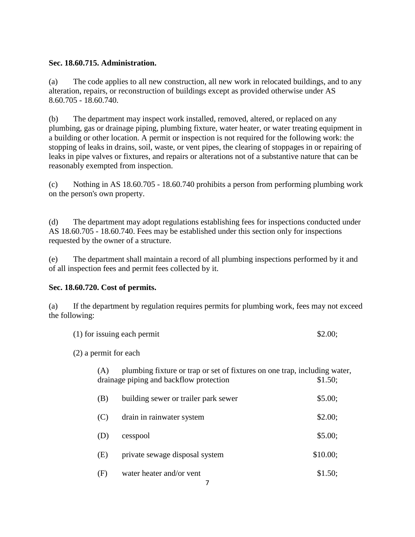#### **Sec. 18.60.715. Administration.**

(a) The code applies to all new construction, all new work in relocated buildings, and to any alteration, repairs, or reconstruction of buildings except as provided otherwise under AS 8.60.705 - 18.60.740.

(b) The department may inspect work installed, removed, altered, or replaced on any plumbing, gas or drainage piping, plumbing fixture, water heater, or water treating equipment in a building or other location. A permit or inspection is not required for the following work: the stopping of leaks in drains, soil, waste, or vent pipes, the clearing of stoppages in or repairing of leaks in pipe valves or fixtures, and repairs or alterations not of a substantive nature that can be reasonably exempted from inspection.

(c) Nothing in AS 18.60.705 - 18.60.740 prohibits a person from performing plumbing work on the person's own property.

(d) The department may adopt regulations establishing fees for inspections conducted under AS 18.60.705 - 18.60.740. Fees may be established under this section only for inspections requested by the owner of a structure.

(e) The department shall maintain a record of all plumbing inspections performed by it and of all inspection fees and permit fees collected by it.

#### **Sec. 18.60.720. Cost of permits.**

(a) If the department by regulation requires permits for plumbing work, fees may not exceed the following:

| (1) for issuing each permit |     |                                                                                                                      |          |  |  |  |
|-----------------------------|-----|----------------------------------------------------------------------------------------------------------------------|----------|--|--|--|
| $(2)$ a permit for each     |     |                                                                                                                      |          |  |  |  |
|                             | (A) | plumbing fixture or trap or set of fixtures on one trap, including water,<br>drainage piping and backflow protection | \$1.50;  |  |  |  |
|                             | (B) | building sewer or trailer park sewer                                                                                 | \$5.00;  |  |  |  |
|                             | (C) | drain in rainwater system                                                                                            | \$2.00;  |  |  |  |
|                             | (D) | cesspool                                                                                                             | \$5.00;  |  |  |  |
|                             | (E) | private sewage disposal system                                                                                       | \$10.00; |  |  |  |
|                             | (F) | water heater and/or vent                                                                                             | \$1.50;  |  |  |  |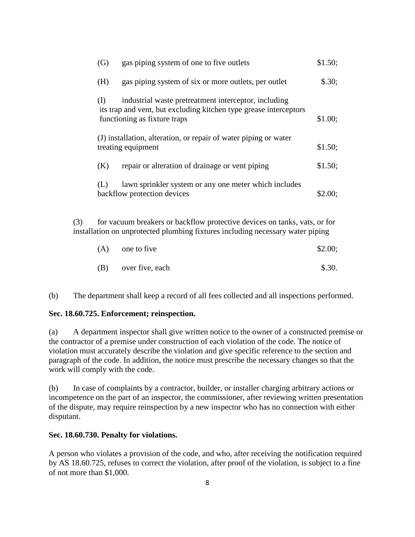|                                                                                                                                                                    | (G)                                                                                    | gas piping system of one to five outlets                                                                                                                  | \$1.50; |  |  |
|--------------------------------------------------------------------------------------------------------------------------------------------------------------------|----------------------------------------------------------------------------------------|-----------------------------------------------------------------------------------------------------------------------------------------------------------|---------|--|--|
|                                                                                                                                                                    | (H)                                                                                    | gas piping system of six or more outlets, per outlet                                                                                                      | \$.30;  |  |  |
|                                                                                                                                                                    | (I)                                                                                    | industrial waste pretreatment interceptor, including<br>its trap and vent, but excluding kitchen type grease interceptors<br>functioning as fixture traps | \$1.00; |  |  |
|                                                                                                                                                                    | (J) installation, alteration, or repair of water piping or water<br>treating equipment |                                                                                                                                                           |         |  |  |
|                                                                                                                                                                    | (K)                                                                                    | repair or alteration of drainage or vent piping                                                                                                           | \$1.50; |  |  |
|                                                                                                                                                                    | (L)                                                                                    | lawn sprinkler system or any one meter which includes<br>backflow protection devices                                                                      | \$2.00; |  |  |
| (3)<br>for vacuum breakers or backflow protective devices on tanks, vats, or for<br>installation on unprotected plumbing fixtures including necessary water piping |                                                                                        |                                                                                                                                                           |         |  |  |

| (A) | one to five     | \$2.00;  |
|-----|-----------------|----------|
| (B) | over five, each | $\$.30.$ |

(b) The department shall keep a record of all fees collected and all inspections performed.

#### **Sec. 18.60.725. Enforcement; reinspection.**

(a) A department inspector shall give written notice to the owner of a constructed premise or the contractor of a premise under construction of each violation of the code. The notice of violation must accurately describe the violation and give specific reference to the section and paragraph of the code. In addition, the notice must prescribe the necessary changes so that the work will comply with the code.

(b) In case of complaints by a contractor, builder, or installer charging arbitrary actions or incompetence on the part of an inspector, the commissioner, after reviewing written presentation of the dispute, may require reinspection by a new inspector who has no connection with either disputant.

#### **Sec. 18.60.730. Penalty for violations.**

A person who violates a provision of the code, and who, after receiving the notification required by AS 18.60.725, refuses to correct the violation, after proof of the violation, is subject to a fine of not more than \$1,000.